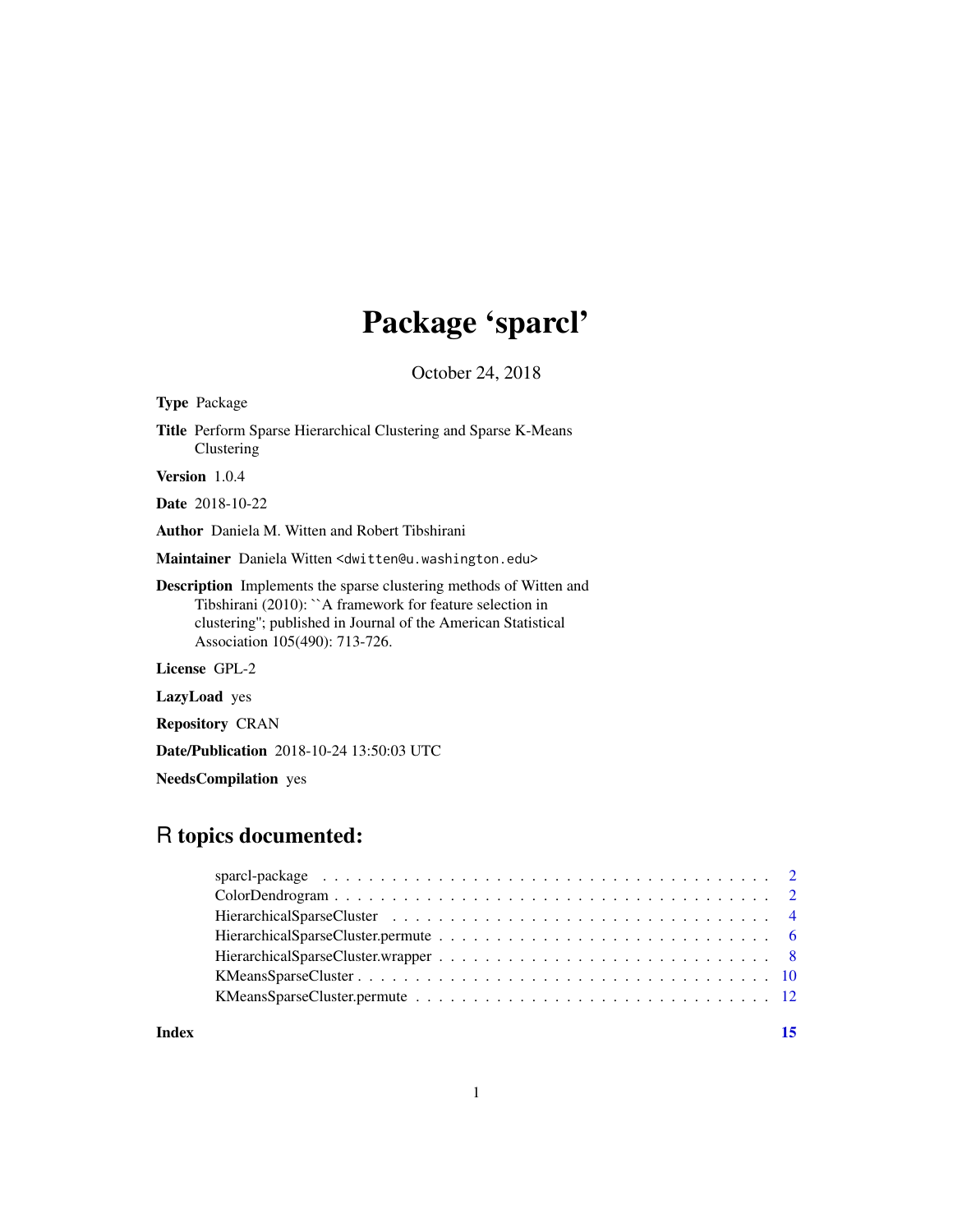# Package 'sparcl'

October 24, 2018

| <b>Type</b> Package                                                                                                                                                                                                                               |
|---------------------------------------------------------------------------------------------------------------------------------------------------------------------------------------------------------------------------------------------------|
| <b>Title</b> Perform Sparse Hierarchical Clustering and Sparse K-Means<br>Clustering                                                                                                                                                              |
| <b>Version</b> $1.0.4$                                                                                                                                                                                                                            |
| <b>Date</b> 2018-10-22                                                                                                                                                                                                                            |
| <b>Author</b> Daniela M. Witten and Robert Tibshirani                                                                                                                                                                                             |
| Maintainer Daniela Witten < dwitten@u.washington.edu>                                                                                                                                                                                             |
| <b>Description</b> Implements the sparse clustering methods of Witten and<br>Tibshirani $(2010)$ : $\Delta$ framework for feature selection in<br>clustering"; published in Journal of the American Statistical<br>Association 105(490): 713-726. |
| License GPL-2                                                                                                                                                                                                                                     |
| <b>LazyLoad</b> yes                                                                                                                                                                                                                               |
| <b>Repository CRAN</b>                                                                                                                                                                                                                            |

Date/Publication 2018-10-24 13:50:03 UTC

NeedsCompilation yes

# R topics documented:

**Index** [15](#page-14-0)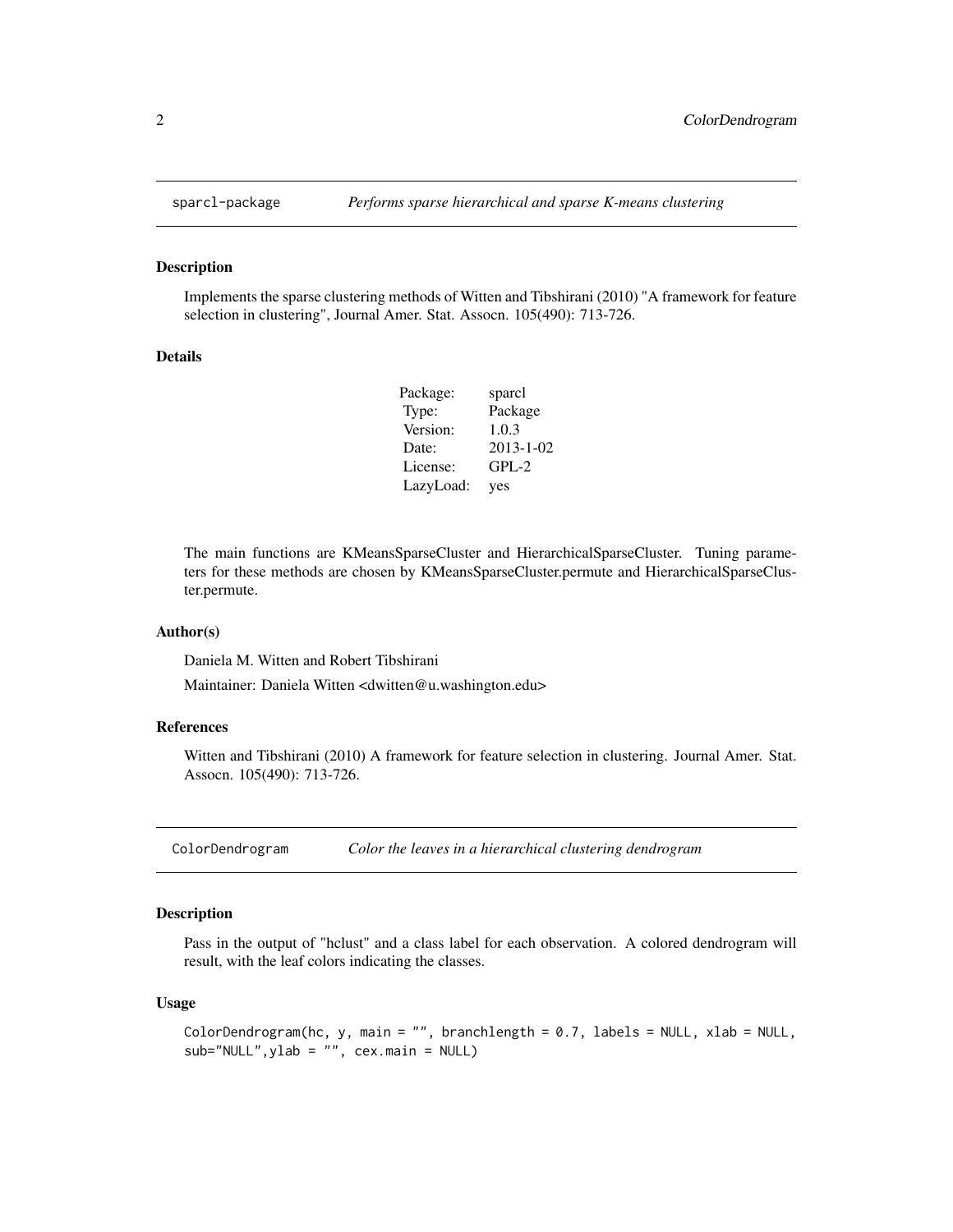<span id="page-1-0"></span>

#### Description

Implements the sparse clustering methods of Witten and Tibshirani (2010) "A framework for feature selection in clustering", Journal Amer. Stat. Assocn. 105(490): 713-726.

#### Details

| Package:  | sparcl          |
|-----------|-----------------|
| Type:     | Package         |
| Version:  | 1.0.3           |
| Date:     | $2013 - 1 - 02$ |
| License:  | $GPL-2$         |
| LazyLoad: | yes             |

The main functions are KMeansSparseCluster and HierarchicalSparseCluster. Tuning parameters for these methods are chosen by KMeansSparseCluster.permute and HierarchicalSparseCluster.permute.

#### Author(s)

Daniela M. Witten and Robert Tibshirani

Maintainer: Daniela Witten <dwitten@u.washington.edu>

#### References

Witten and Tibshirani (2010) A framework for feature selection in clustering. Journal Amer. Stat. Assocn. 105(490): 713-726.

ColorDendrogram *Color the leaves in a hierarchical clustering dendrogram*

#### Description

Pass in the output of "hclust" and a class label for each observation. A colored dendrogram will result, with the leaf colors indicating the classes.

#### Usage

```
ColorDendrogram(hc, y, main = "", branchlength = 0.7, labels = NULL, xlab = NULL,
sub="NULL",ylab = "", cex.main = NULL)
```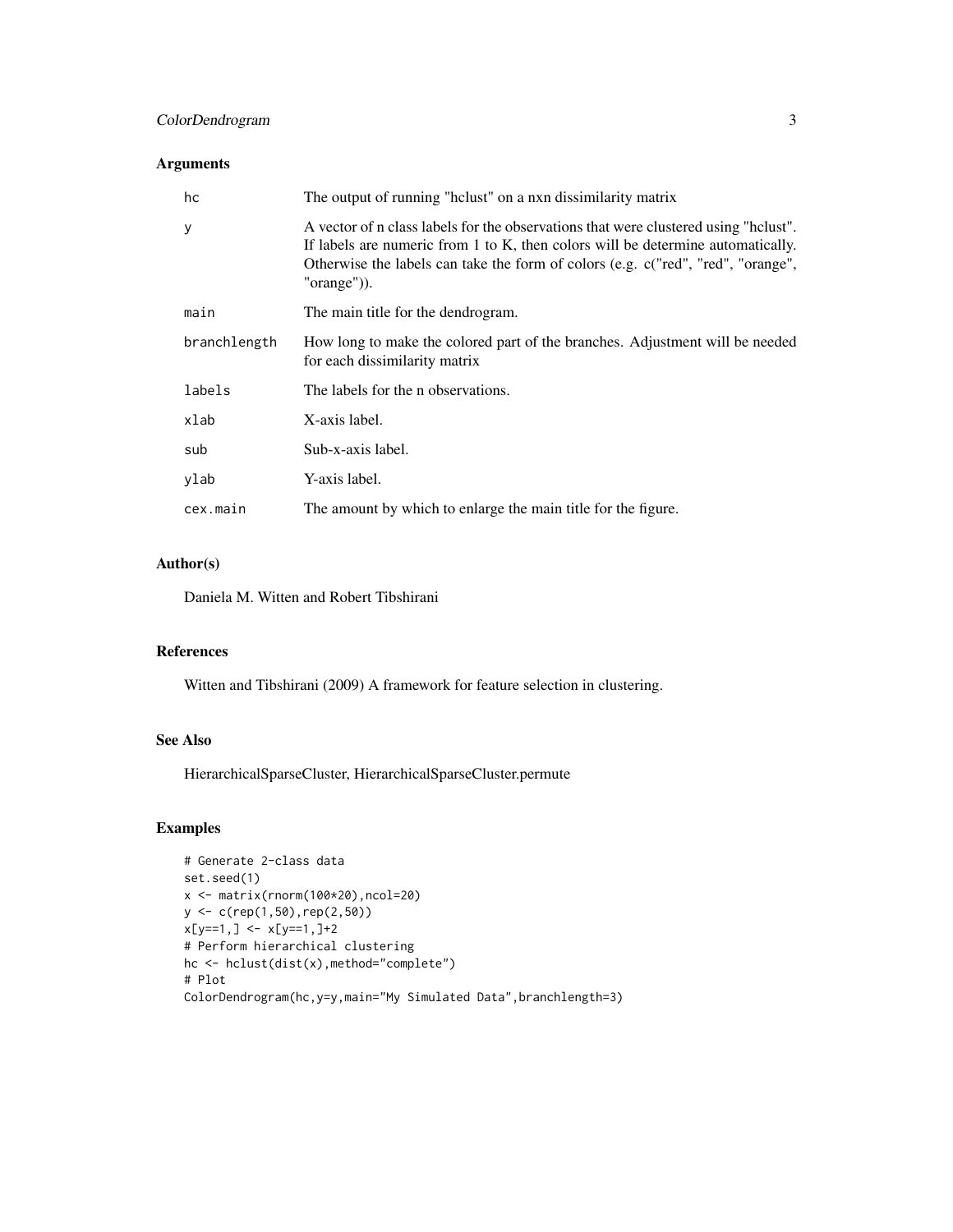# ColorDendrogram 3

# Arguments

| hc           | The output of running "helust" on a nxn dissimilarity matrix                                                                                                                                                                                                                  |
|--------------|-------------------------------------------------------------------------------------------------------------------------------------------------------------------------------------------------------------------------------------------------------------------------------|
| y            | A vector of n class labels for the observations that were clustered using "helust".<br>If labels are numeric from 1 to K, then colors will be determine automatically.<br>Otherwise the labels can take the form of colors (e.g. c("red", "red", "orange",<br>" $orange$ ")). |
| main         | The main title for the dendrogram.                                                                                                                                                                                                                                            |
| branchlength | How long to make the colored part of the branches. Adjustment will be needed<br>for each dissimilarity matrix                                                                                                                                                                 |
| labels       | The labels for the n observations.                                                                                                                                                                                                                                            |
| xlab         | X-axis label.                                                                                                                                                                                                                                                                 |
| sub          | Sub-x-axis label.                                                                                                                                                                                                                                                             |
| ylab         | Y-axis label.                                                                                                                                                                                                                                                                 |
| cex.main     | The amount by which to enlarge the main title for the figure.                                                                                                                                                                                                                 |

# Author(s)

Daniela M. Witten and Robert Tibshirani

# References

Witten and Tibshirani (2009) A framework for feature selection in clustering.

# See Also

HierarchicalSparseCluster, HierarchicalSparseCluster.permute

# Examples

```
# Generate 2-class data
set.seed(1)
x <- matrix(rnorm(100*20),ncol=20)
y <- c(rep(1,50),rep(2,50))
x[y==1,] <- x[y==1,]+2
# Perform hierarchical clustering
hc <- hclust(dist(x),method="complete")
# Plot
ColorDendrogram(hc,y=y,main="My Simulated Data",branchlength=3)
```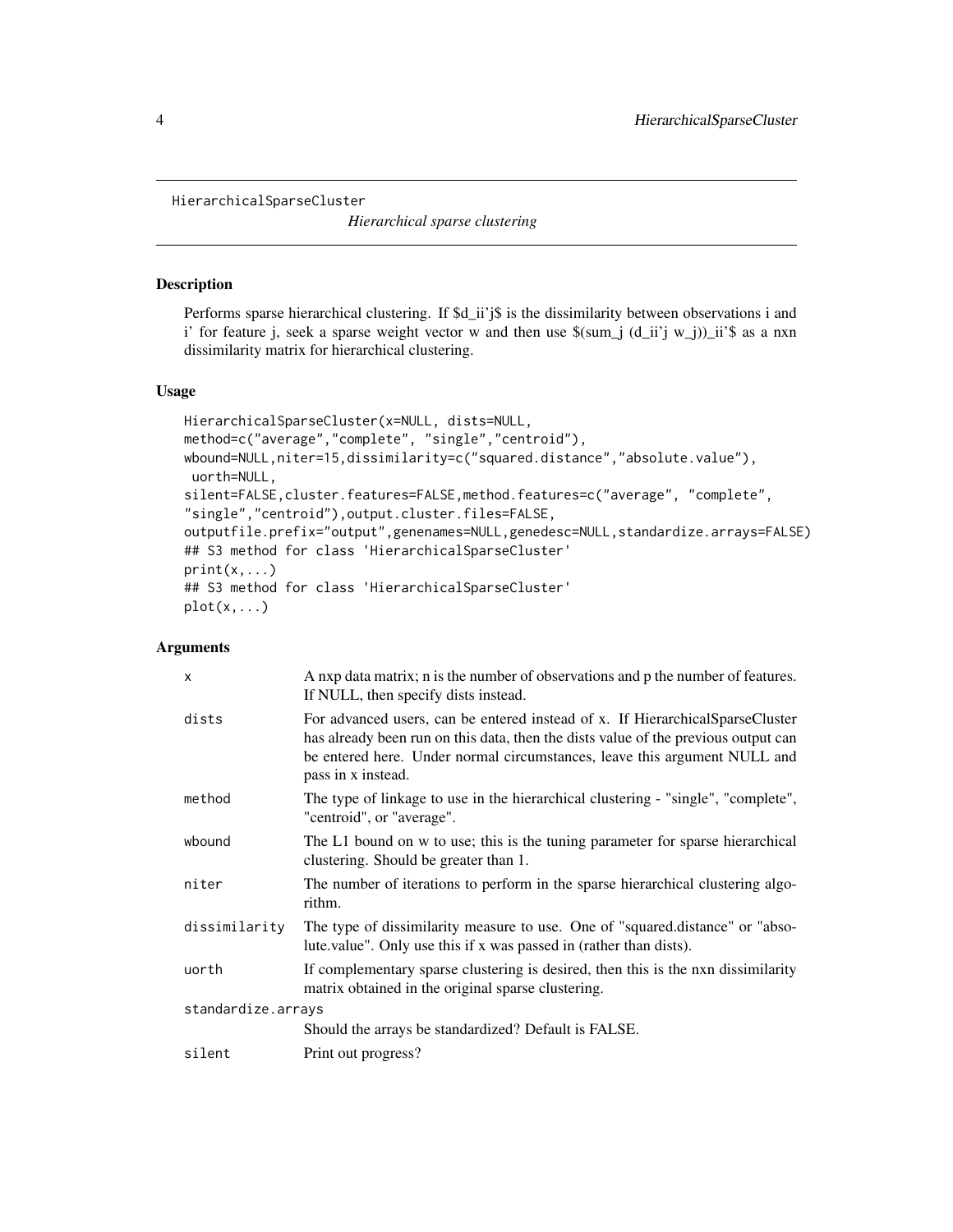<span id="page-3-1"></span><span id="page-3-0"></span>HierarchicalSparseCluster

*Hierarchical sparse clustering*

# Description

Performs sparse hierarchical clustering. If  $d_i$  ii'j\$ is the dissimilarity between observations i and i' for feature j, seek a sparse weight vector w and then use  $\mathcal{S}(\text{sum}_j (d_i i'j w_j))$ ii' $\mathcal{S}$  as a nxn dissimilarity matrix for hierarchical clustering.

#### Usage

```
HierarchicalSparseCluster(x=NULL, dists=NULL,
method=c("average","complete", "single","centroid"),
wbound=NULL,niter=15,dissimilarity=c("squared.distance","absolute.value"),
uorth=NULL,
silent=FALSE,cluster.features=FALSE,method.features=c("average", "complete",
"single","centroid"),output.cluster.files=FALSE,
outputfile.prefix="output",genenames=NULL,genedesc=NULL,standardize.arrays=FALSE)
## S3 method for class 'HierarchicalSparseCluster'
print(x, \ldots)## S3 method for class 'HierarchicalSparseCluster'
plot(x,...)
```
#### Arguments

| $\mathsf{x}$       | A nxp data matrix; n is the number of observations and p the number of features.<br>If NULL, then specify dists instead.                                                                                                                                               |  |
|--------------------|------------------------------------------------------------------------------------------------------------------------------------------------------------------------------------------------------------------------------------------------------------------------|--|
| dists              | For advanced users, can be entered instead of x. If HierarchicalSparseCluster<br>has already been run on this data, then the dists value of the previous output can<br>be entered here. Under normal circumstances, leave this argument NULL and<br>pass in x instead. |  |
| method             | The type of linkage to use in the hierarchical clustering - "single", "complete",<br>"centroid", or "average".                                                                                                                                                         |  |
| wbound             | The L1 bound on w to use; this is the tuning parameter for sparse hierarchical<br>clustering. Should be greater than 1.                                                                                                                                                |  |
| niter              | The number of iterations to perform in the sparse hierarchical clustering algo-<br>rithm.                                                                                                                                                                              |  |
| dissimilarity      | The type of dissimilarity measure to use. One of "squared.distance" or "abso-<br>lute value". Only use this if x was passed in (rather than dists).                                                                                                                    |  |
| uorth              | If complementary sparse clustering is desired, then this is the nxn dissimilarity<br>matrix obtained in the original sparse clustering.                                                                                                                                |  |
| standardize.arrays |                                                                                                                                                                                                                                                                        |  |
|                    | Should the arrays be standardized? Default is FALSE.                                                                                                                                                                                                                   |  |
| silent             | Print out progress?                                                                                                                                                                                                                                                    |  |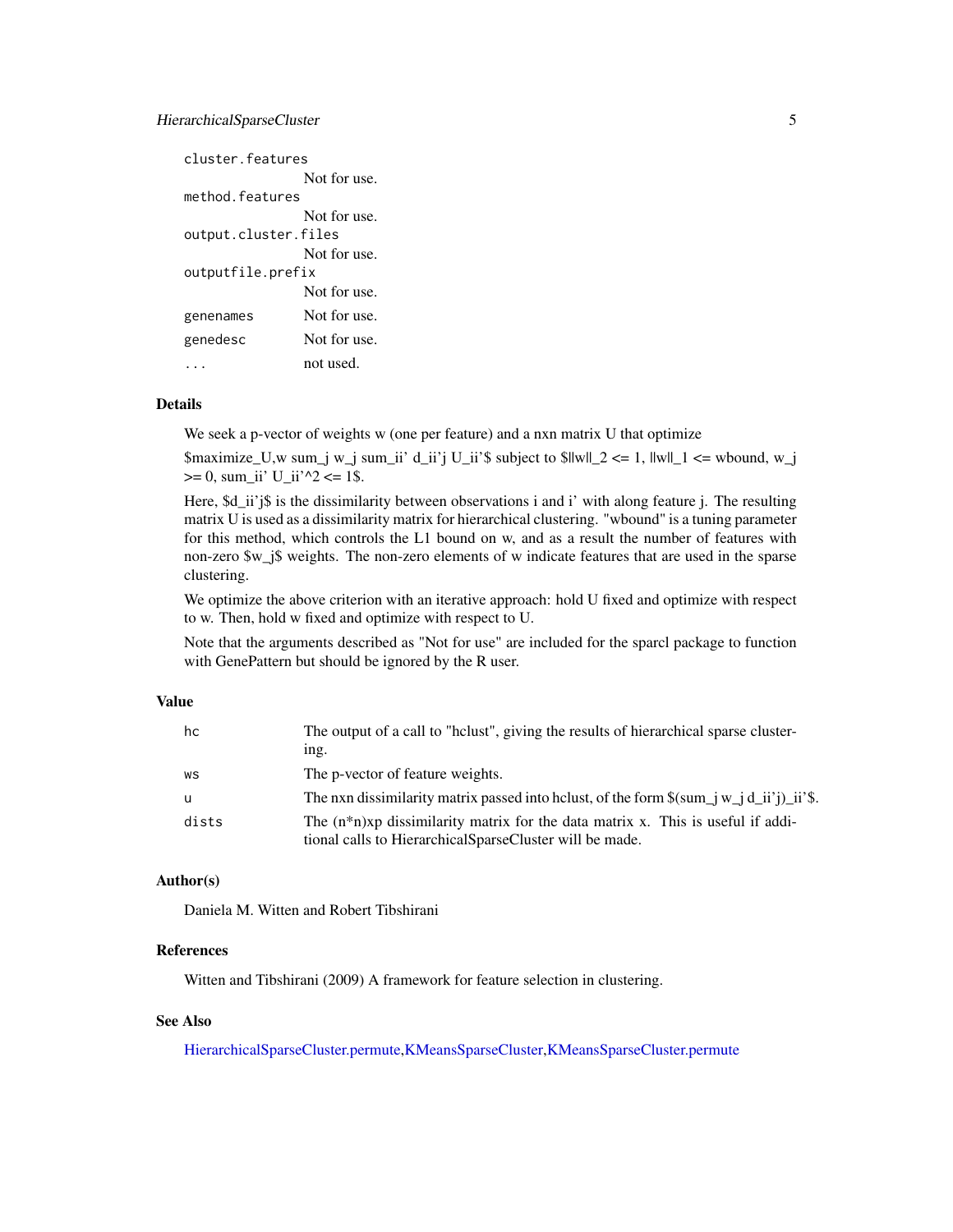# <span id="page-4-0"></span>HierarchicalSparseCluster 5

| cluster features     |              |
|----------------------|--------------|
|                      | Not for use. |
| method features      |              |
|                      | Not for use. |
| output.cluster.files |              |
|                      | Not for use. |
| outputfile.prefix    |              |
|                      | Not for use. |
| genenames            | Not for use. |
| genedesc             | Not for use. |
|                      | not used.    |

# Details

We seek a p-vector of weights w (one per feature) and a nxn matrix U that optimize

\$maximize\_U,w sum\_j w\_j sum\_ii' d\_ii'j U\_ii'\$ subject to \$||w||\_2 <= 1, ||w||\_1 <= wbound, w\_j  $>= 0$ , sum\_ii' U\_ii'^2 <= 1\$.

Here,  $d_i$  ii'j\$ is the dissimilarity between observations i and i' with along feature j. The resulting matrix U is used as a dissimilarity matrix for hierarchical clustering. "wbound" is a tuning parameter for this method, which controls the L1 bound on w, and as a result the number of features with non-zero \$w\_j\$ weights. The non-zero elements of w indicate features that are used in the sparse clustering.

We optimize the above criterion with an iterative approach: hold U fixed and optimize with respect to w. Then, hold w fixed and optimize with respect to U.

Note that the arguments described as "Not for use" are included for the sparcl package to function with GenePattern but should be ignored by the R user.

#### Value

| hc    | The output of a call to "helust", giving the results of hierarchical sparse cluster-                                                             |
|-------|--------------------------------------------------------------------------------------------------------------------------------------------------|
|       | 1 <sub>n</sub>                                                                                                                                   |
| WS    | The p-vector of feature weights.                                                                                                                 |
| u     | The nxn dissimilarity matrix passed into holust, of the form $\gamma = \pi i \, d_i$ ii'j) ii's.                                                 |
| dists | The $(n^*n)$ xp dissimilarity matrix for the data matrix x. This is useful if addi-<br>tional calls to Hierarchical Sparse Cluster will be made. |

# Author(s)

Daniela M. Witten and Robert Tibshirani

# References

Witten and Tibshirani (2009) A framework for feature selection in clustering.

# See Also

[HierarchicalSparseCluster.permute,](#page-5-1)[KMeansSparseCluster,](#page-9-1)[KMeansSparseCluster.permute](#page-11-1)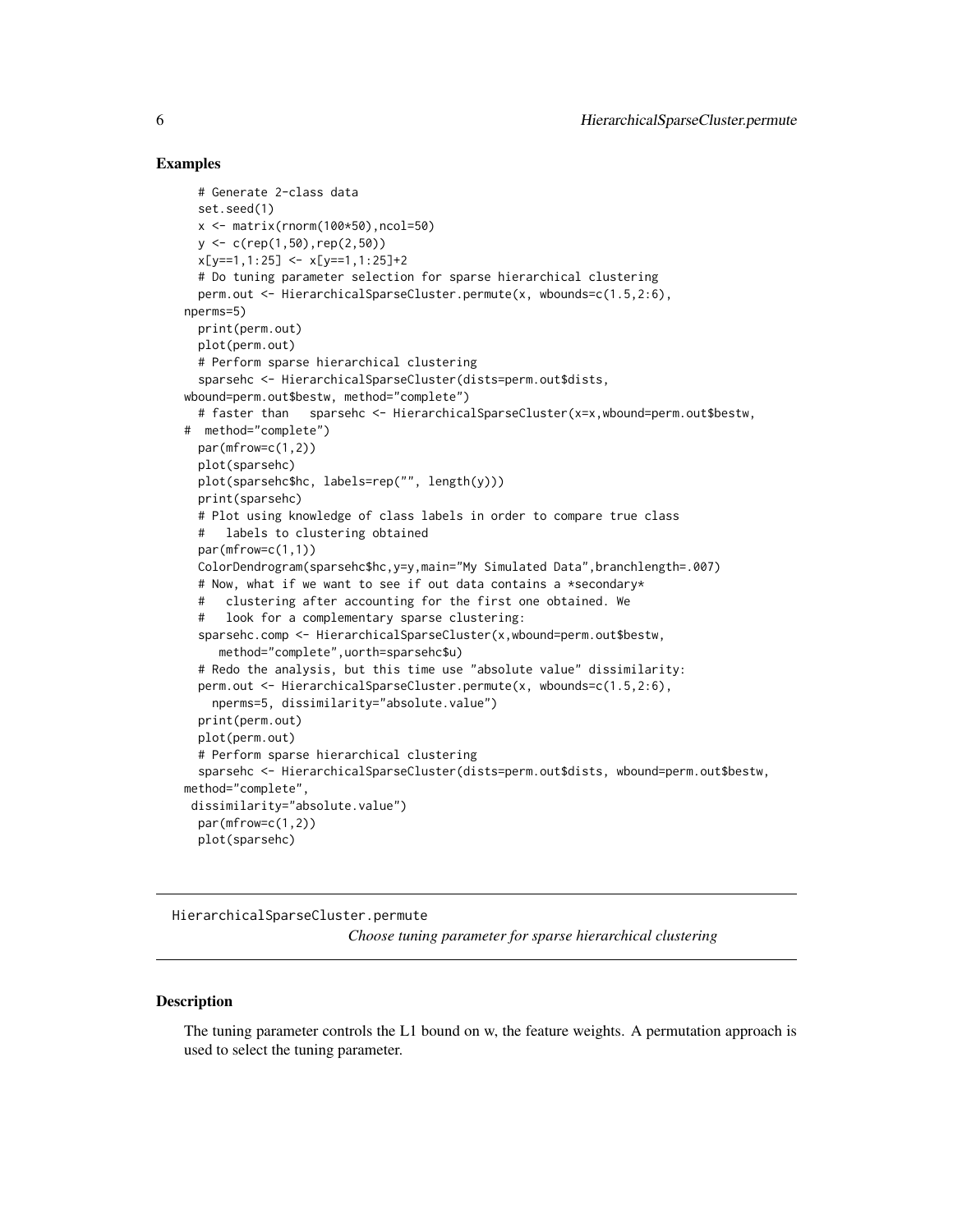#### Examples

```
# Generate 2-class data
 set.seed(1)
 x \le - matrix(rnorm(100\star50), ncol=50)
 y <- c(rep(1,50),rep(2,50))
 x[y==1,1:25] <- x[y==1,1:25]+2
 # Do tuning parameter selection for sparse hierarchical clustering
 perm.out <- HierarchicalSparseCluster.permute(x, wbounds=c(1.5,2:6),
nperms=5)
 print(perm.out)
 plot(perm.out)
 # Perform sparse hierarchical clustering
 sparsehc <- HierarchicalSparseCluster(dists=perm.out$dists,
wbound=perm.out$bestw, method="complete")
 # faster than sparsehc <- HierarchicalSparseCluster(x=x,wbound=perm.out$bestw,
# method="complete")
 par(mfrow=c(1,2))
 plot(sparsehc)
 plot(sparsehc$hc, labels=rep("", length(y)))
 print(sparsehc)
 # Plot using knowledge of class labels in order to compare true class
 # labels to clustering obtained
 par(mfrow=c(1,1))ColorDendrogram(sparsehc$hc,y=y,main="My Simulated Data",branchlength=.007)
 # Now, what if we want to see if out data contains a *secondary*
 # clustering after accounting for the first one obtained. We
 # look for a complementary sparse clustering:
 sparsehc.comp <- HierarchicalSparseCluster(x,wbound=perm.out$bestw,
    method="complete",uorth=sparsehc$u)
 # Redo the analysis, but this time use "absolute value" dissimilarity:
 perm.out <- HierarchicalSparseCluster.permute(x, wbounds=c(1.5,2:6),
   nperms=5, dissimilarity="absolute.value")
 print(perm.out)
 plot(perm.out)
 # Perform sparse hierarchical clustering
 sparsehc <- HierarchicalSparseCluster(dists=perm.out$dists, wbound=perm.out$bestw,
method="complete",
dissimilarity="absolute.value")
 par(mfrow=c(1,2))
 plot(sparsehc)
```

```
HierarchicalSparseCluster.permute
```
*Choose tuning parameter for sparse hierarchical clustering*

#### Description

The tuning parameter controls the L1 bound on w, the feature weights. A permutation approach is used to select the tuning parameter.

<span id="page-5-0"></span>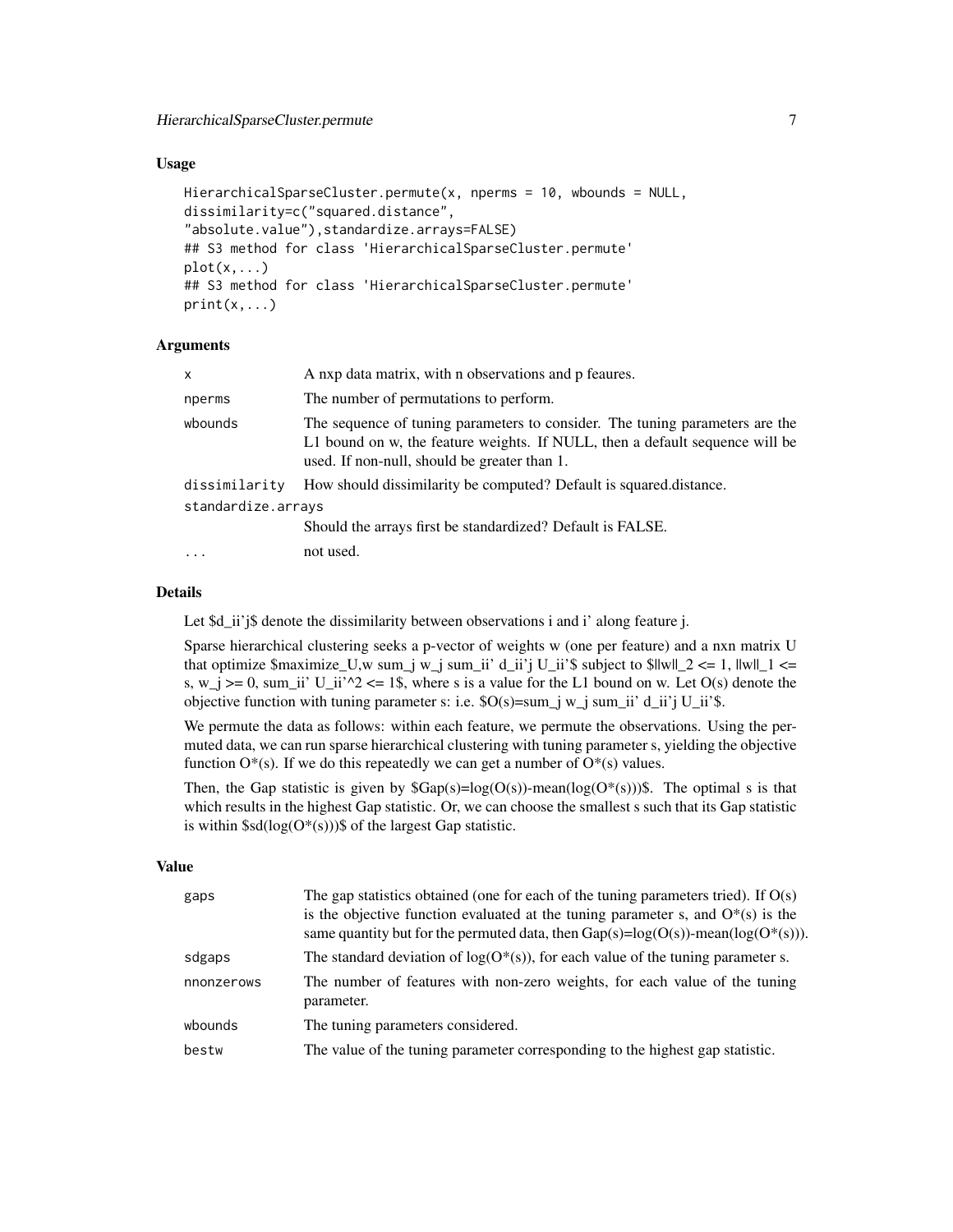#### Usage

```
HierarchicalSparseCluster.permute(x, nperms = 10, wbounds = NULL,
dissimilarity=c("squared.distance",
"absolute.value"),standardize.arrays=FALSE)
## S3 method for class 'HierarchicalSparseCluster.permute'
plot(x, \ldots)## S3 method for class 'HierarchicalSparseCluster.permute'
print(x, \ldots)
```
#### **Arguments**

| x                  | A nxp data matrix, with n observations and p feaures.                                                                                                                                                        |
|--------------------|--------------------------------------------------------------------------------------------------------------------------------------------------------------------------------------------------------------|
| nperms             | The number of permutations to perform.                                                                                                                                                                       |
| wbounds            | The sequence of tuning parameters to consider. The tuning parameters are the<br>L1 bound on w, the feature weights. If NULL, then a default sequence will be<br>used. If non-null, should be greater than 1. |
| dissimilarity      | How should dissimilarity be computed? Default is squared.distance.                                                                                                                                           |
| standardize.arrays |                                                                                                                                                                                                              |
|                    | Should the arrays first be standardized? Default is FALSE.                                                                                                                                                   |
| $\cdot$            | not used.                                                                                                                                                                                                    |
|                    |                                                                                                                                                                                                              |

# Details

Let \$d\_ii'j\$ denote the dissimilarity between observations i and i' along feature j.

Sparse hierarchical clustering seeks a p-vector of weights w (one per feature) and a nxn matrix U that optimize  $\text{Smaximize}_U, \text{w sum}_i \leq w_i$  sum\_ii' d\_ii'j U\_ii's subject to  $\text{S}\|w\|_2 \leq 1$ ,  $\|w\|_1 \leq$ s,  $w_j \ge 0$ , sum\_ii' U\_ii'^2 <= 1\$, where s is a value for the L1 bound on w. Let O(s) denote the objective function with tuning parameter s: i.e.  $O(s)$ =sum\_j w\_j sum\_ii' d\_ii'j U\_ii'\$.

We permute the data as follows: within each feature, we permute the observations. Using the permuted data, we can run sparse hierarchical clustering with tuning parameter s, yielding the objective function  $O^*(s)$ . If we do this repeatedly we can get a number of  $O^*(s)$  values.

Then, the Gap statistic is given by  $Gap(s)=log(O(s))$ -mean(log( $O^*(s)$ )). The optimal s is that which results in the highest Gap statistic. Or, we can choose the smallest s such that its Gap statistic is within  $\$sd(log(O^*(s)))\$$  of the largest Gap statistic.

#### Value

| gaps       | The gap statistics obtained (one for each of the tuning parameters tried). If $O(s)$<br>is the objective function evaluated at the tuning parameter s, and $O^*(s)$ is the<br>same quantity but for the permuted data, then $Gap(s)=log(O(s))$ -mean( $log(O^*(s)))$ . |
|------------|------------------------------------------------------------------------------------------------------------------------------------------------------------------------------------------------------------------------------------------------------------------------|
| sdgaps     | The standard deviation of $log(O^*(s))$ , for each value of the tuning parameter s.                                                                                                                                                                                    |
| nnonzerows | The number of features with non-zero weights, for each value of the tuning<br>parameter.                                                                                                                                                                               |
| wbounds    | The tuning parameters considered.                                                                                                                                                                                                                                      |
| bestw      | The value of the tuning parameter corresponding to the highest gap statistic.                                                                                                                                                                                          |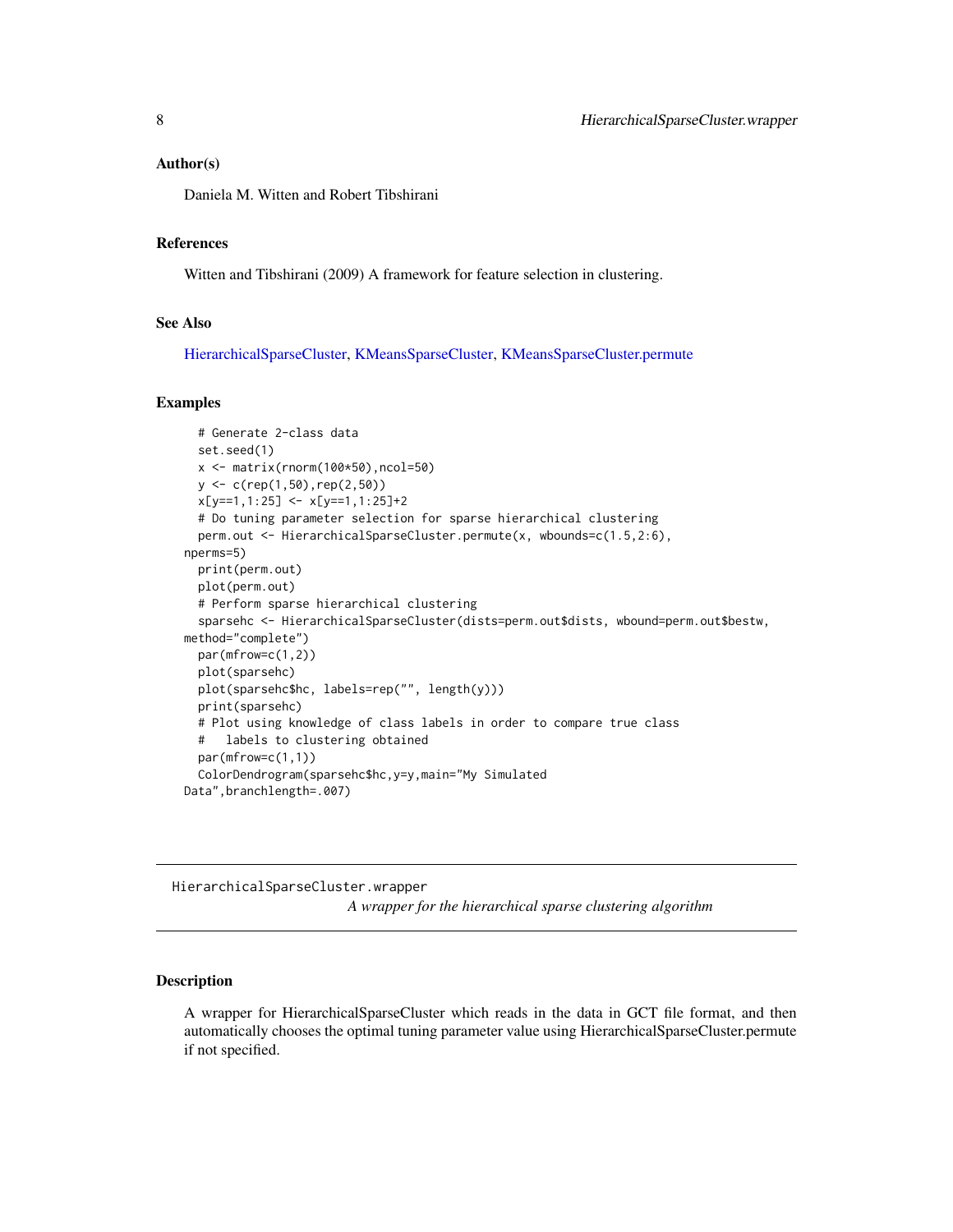#### <span id="page-7-0"></span>Author(s)

Daniela M. Witten and Robert Tibshirani

# References

Witten and Tibshirani (2009) A framework for feature selection in clustering.

#### See Also

[HierarchicalSparseCluster,](#page-3-1) [KMeansSparseCluster,](#page-9-1) [KMeansSparseCluster.permute](#page-11-1)

#### Examples

```
# Generate 2-class data
 set.seed(1)
 x \leftarrow \text{matrix}(rnorm(100*50), ncol=50)y <- c(rep(1,50),rep(2,50))
 x[y==1,1:25] <- x[y==1,1:25]+2
 # Do tuning parameter selection for sparse hierarchical clustering
 perm.out <- HierarchicalSparseCluster.permute(x, wbounds=c(1.5,2:6),
nperms=5)
 print(perm.out)
 plot(perm.out)
 # Perform sparse hierarchical clustering
 sparsehc <- HierarchicalSparseCluster(dists=perm.out$dists, wbound=perm.out$bestw,
method="complete")
 par(mfrow=c(1,2))
 plot(sparsehc)
 plot(sparsehc$hc, labels=rep("", length(y)))
 print(sparsehc)
 # Plot using knowledge of class labels in order to compare true class
 # labels to clustering obtained
 par(mfrow=c(1,1))
 ColorDendrogram(sparsehc$hc,y=y,main="My Simulated
Data",branchlength=.007)
```
HierarchicalSparseCluster.wrapper *A wrapper for the hierarchical sparse clustering algorithm*

#### Description

A wrapper for HierarchicalSparseCluster which reads in the data in GCT file format, and then automatically chooses the optimal tuning parameter value using HierarchicalSparseCluster.permute if not specified.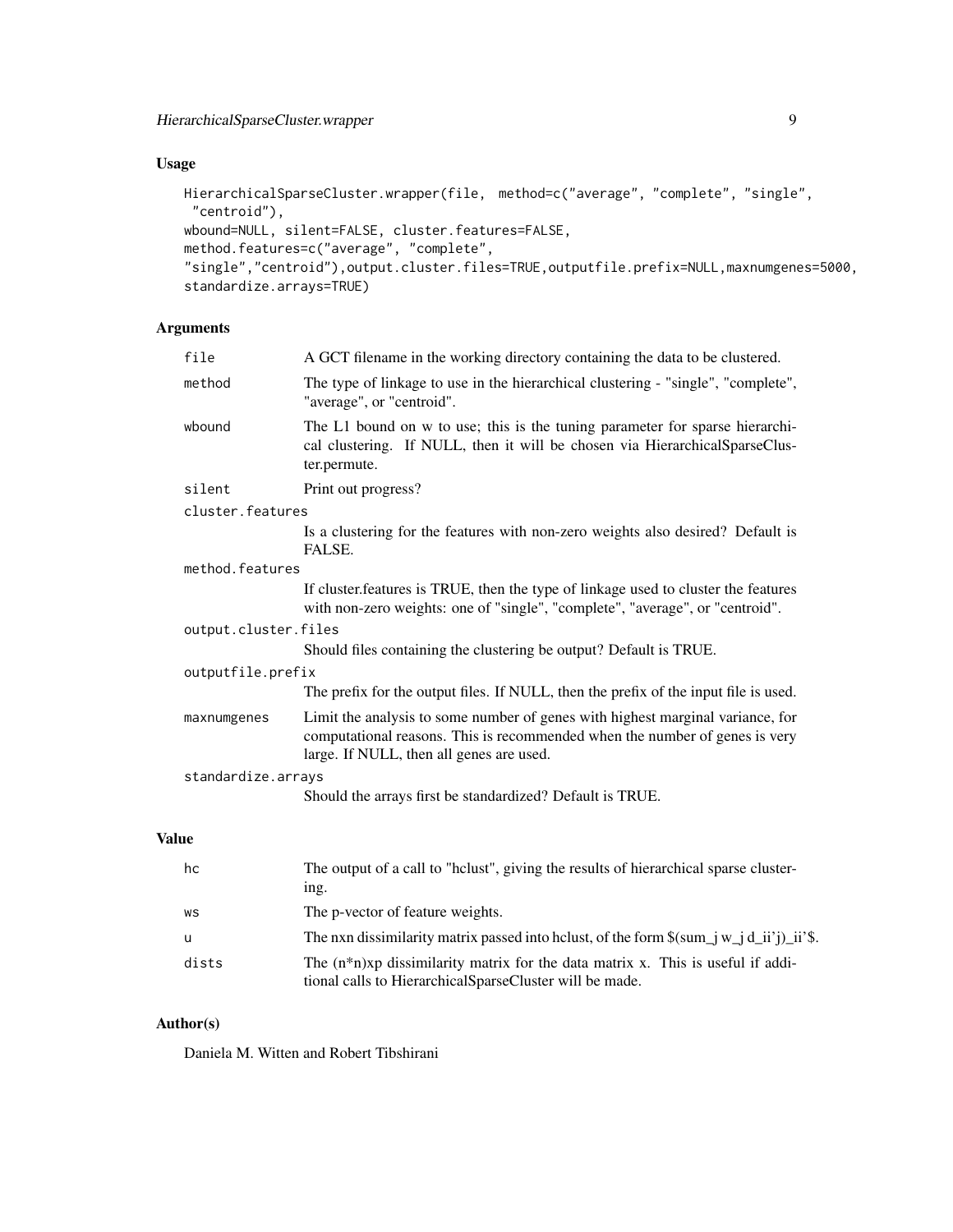# Usage

```
HierarchicalSparseCluster.wrapper(file, method=c("average", "complete", "single",
 "centroid"),
wbound=NULL, silent=FALSE, cluster.features=FALSE,
method.features=c("average", "complete",
"single","centroid"),output.cluster.files=TRUE,outputfile.prefix=NULL,maxnumgenes=5000,
standardize.arrays=TRUE)
```
# Arguments

| file                 | A GCT filename in the working directory containing the data to be clustered.                                                                                                                              |  |
|----------------------|-----------------------------------------------------------------------------------------------------------------------------------------------------------------------------------------------------------|--|
| method               | The type of linkage to use in the hierarchical clustering - "single", "complete",<br>"average", or "centroid".                                                                                            |  |
| wbound               | The L1 bound on w to use; this is the tuning parameter for sparse hierarchi-<br>cal clustering. If NULL, then it will be chosen via HierarchicalSparseClus-<br>ter.permute.                               |  |
| silent               | Print out progress?                                                                                                                                                                                       |  |
| cluster.features     |                                                                                                                                                                                                           |  |
|                      | Is a clustering for the features with non-zero weights also desired? Default is<br>FALSE.                                                                                                                 |  |
| method.features      |                                                                                                                                                                                                           |  |
|                      | If cluster features is TRUE, then the type of linkage used to cluster the features<br>with non-zero weights: one of "single", "complete", "average", or "centroid".                                       |  |
| output.cluster.files |                                                                                                                                                                                                           |  |
|                      | Should files containing the clustering be output? Default is TRUE.                                                                                                                                        |  |
| outputfile.prefix    |                                                                                                                                                                                                           |  |
|                      | The prefix for the output files. If NULL, then the prefix of the input file is used.                                                                                                                      |  |
| maxnumgenes          | Limit the analysis to some number of genes with highest marginal variance, for<br>computational reasons. This is recommended when the number of genes is very<br>large. If NULL, then all genes are used. |  |
| standardize.arrays   |                                                                                                                                                                                                           |  |
|                      | Should the arrays first be standardized? Default is TRUE.                                                                                                                                                 |  |
|                      |                                                                                                                                                                                                           |  |

# Value

| hc    | The output of a call to "hclust", giving the results of hierarchical sparse cluster-<br>ing.                                                   |
|-------|------------------------------------------------------------------------------------------------------------------------------------------------|
| WS    | The p-vector of feature weights.                                                                                                               |
| -u    | The nxn dissimilarity matrix passed into helust, of the form $\gamma = \pi i \, d_i$ ii'j) ii's.                                               |
| dists | The $(n*n)xp$ dissimilarity matrix for the data matrix x. This is useful if addi-<br>tional calls to Hierarchical Sparse Cluster will be made. |

# Author(s)

Daniela M. Witten and Robert Tibshirani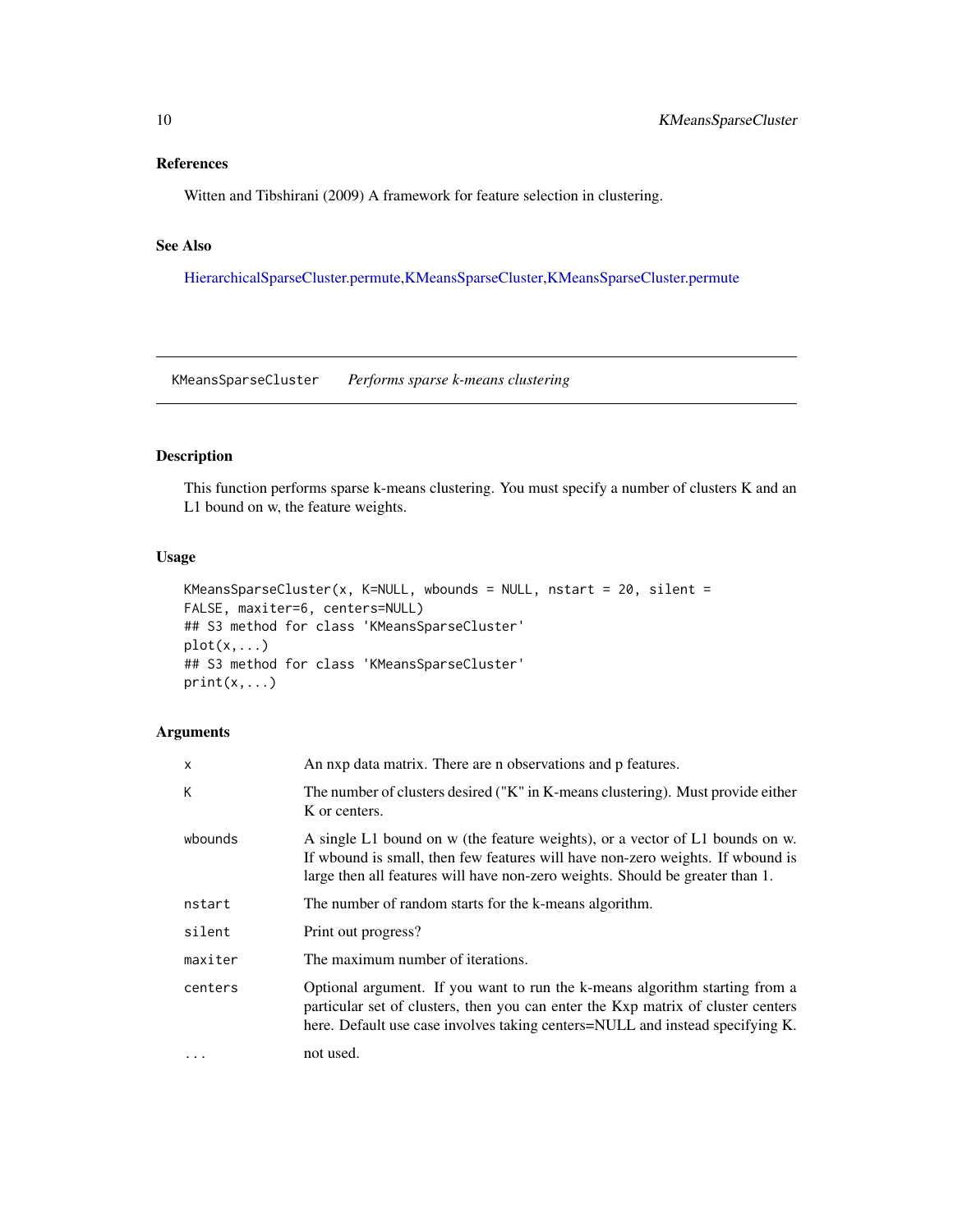# <span id="page-9-0"></span>References

Witten and Tibshirani (2009) A framework for feature selection in clustering.

# See Also

[HierarchicalSparseCluster.permute,](#page-5-1)[KMeansSparseCluster,](#page-9-1)[KMeansSparseCluster.permute](#page-11-1)

<span id="page-9-1"></span>KMeansSparseCluster *Performs sparse k-means clustering*

# Description

This function performs sparse k-means clustering. You must specify a number of clusters K and an L1 bound on w, the feature weights.

# Usage

```
KMeansSparseCluster(x, K=NULL, wbounds = NULL, nstart = 20, silent =
FALSE, maxiter=6, centers=NULL)
## S3 method for class 'KMeansSparseCluster'
plot(x,...)## S3 method for class 'KMeansSparseCluster'
print(x,...)
```
# Arguments

| X         | An nxp data matrix. There are n observations and p features.                                                                                                                                                                                     |
|-----------|--------------------------------------------------------------------------------------------------------------------------------------------------------------------------------------------------------------------------------------------------|
| К         | The number of clusters desired ("K" in K-means clustering). Must provide either<br>K or centers.                                                                                                                                                 |
| wbounds   | A single L1 bound on w (the feature weights), or a vector of L1 bounds on w.<br>If who is small, then few features will have non-zero weights. If who und is<br>large then all features will have non-zero weights. Should be greater than 1.    |
| nstart    | The number of random starts for the k-means algorithm.                                                                                                                                                                                           |
| silent    | Print out progress?                                                                                                                                                                                                                              |
| maxiter   | The maximum number of iterations.                                                                                                                                                                                                                |
| centers   | Optional argument. If you want to run the k-means algorithm starting from a<br>particular set of clusters, then you can enter the Kxp matrix of cluster centers<br>here. Default use case involves taking centers=NULL and instead specifying K. |
| $\ddotsc$ | not used.                                                                                                                                                                                                                                        |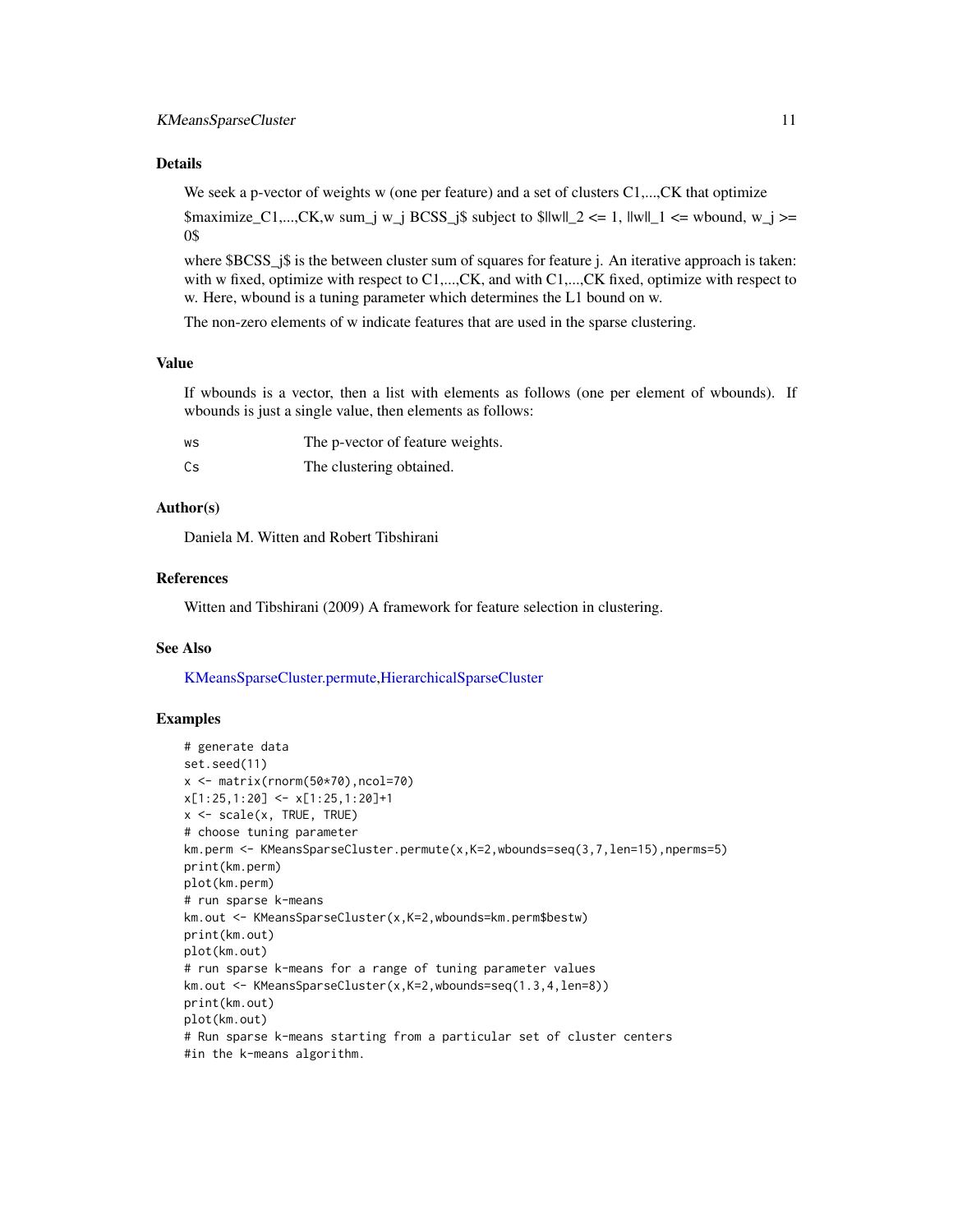#### <span id="page-10-0"></span>Details

We seek a p-vector of weights w (one per feature) and a set of clusters C1,..., CK that optimize

\$maximize\_C1,...,CK,w sum\_j w\_j BCSS\_j\$ subject to \$llwll\_2 <= 1, llwll\_1 <= wbound, w\_j >= 0\$

where \$BCSS\_j\$ is the between cluster sum of squares for feature j. An iterative approach is taken: with w fixed, optimize with respect to C1,..., CK, and with C1,..., CK fixed, optimize with respect to w. Here, wbound is a tuning parameter which determines the L1 bound on w.

The non-zero elements of w indicate features that are used in the sparse clustering.

#### Value

If wbounds is a vector, then a list with elements as follows (one per element of wbounds). If wbounds is just a single value, then elements as follows:

| WS | The p-vector of feature weights. |
|----|----------------------------------|
| Cs | The clustering obtained.         |

# Author(s)

Daniela M. Witten and Robert Tibshirani

#### References

Witten and Tibshirani (2009) A framework for feature selection in clustering.

#### See Also

[KMeansSparseCluster.permute,](#page-11-1)[HierarchicalSparseCluster](#page-3-1)

#### Examples

```
# generate data
set.seed(11)
x <- matrix(rnorm(50*70),ncol=70)
x[1:25,1:20] <- x[1:25,1:20]+1
x <- scale(x, TRUE, TRUE)
# choose tuning parameter
km.perm <- KMeansSparseCluster.permute(x,K=2,wbounds=seq(3,7,len=15),nperms=5)
print(km.perm)
plot(km.perm)
# run sparse k-means
km.out <- KMeansSparseCluster(x,K=2,wbounds=km.perm$bestw)
print(km.out)
plot(km.out)
# run sparse k-means for a range of tuning parameter values
km.out <- KMeansSparseCluster(x,K=2,wbounds=seq(1.3,4,len=8))
print(km.out)
plot(km.out)
# Run sparse k-means starting from a particular set of cluster centers
#in the k-means algorithm.
```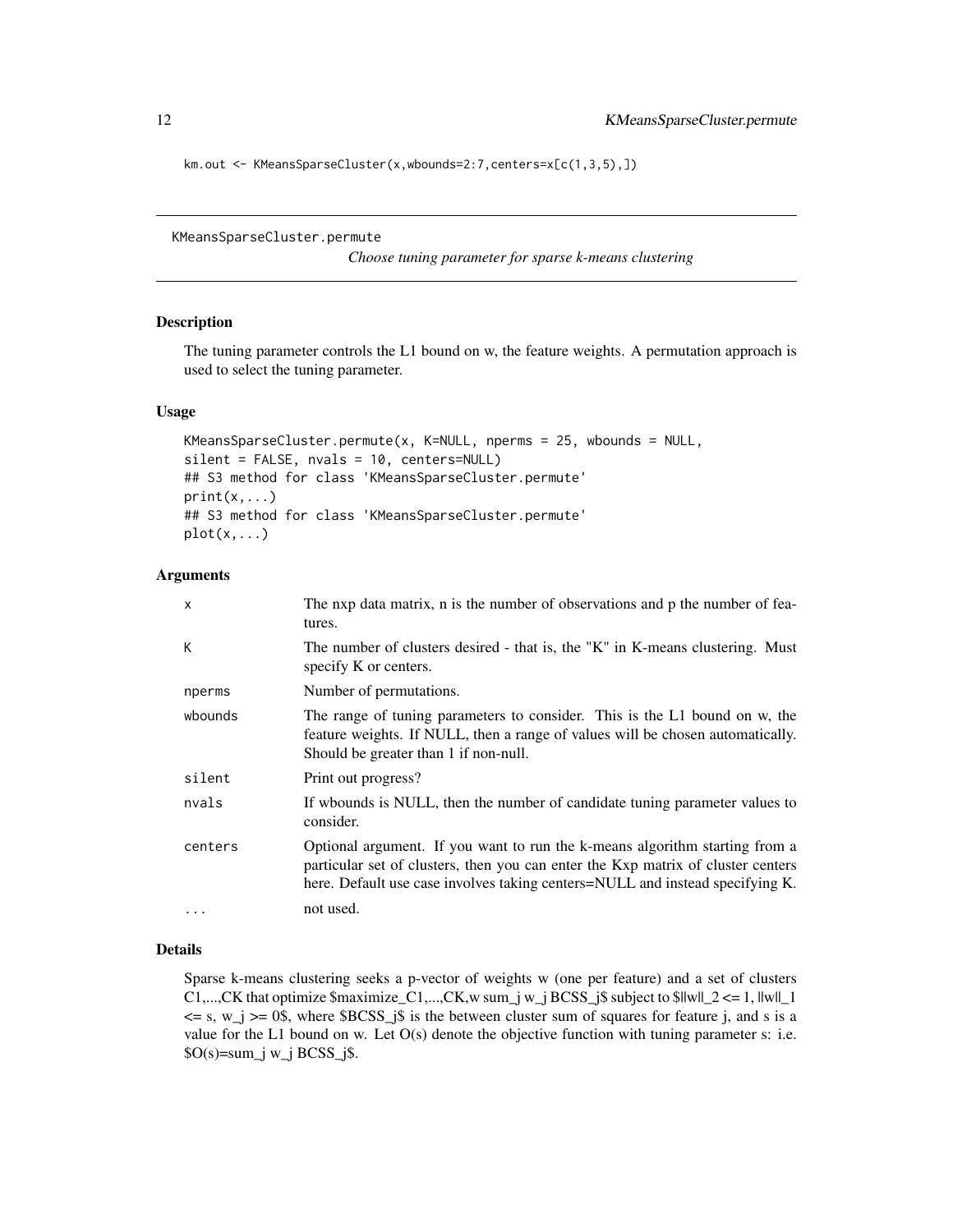<span id="page-11-0"></span>km.out <- KMeansSparseCluster(x,wbounds=2:7,centers=x[c(1,3,5),])

```
KMeansSparseCluster.permute
```
*Choose tuning parameter for sparse k-means clustering*

#### Description

The tuning parameter controls the L1 bound on w, the feature weights. A permutation approach is used to select the tuning parameter.

#### Usage

```
KMeansSparseCluster.permute(x, K=NULL, nperms = 25, wbounds = NULL,
silent = FALSE, nvals = 10, centers=NULL)
## S3 method for class 'KMeansSparseCluster.permute'
print(x, \ldots)## S3 method for class 'KMeansSparseCluster.permute'
plot(x,...)
```
#### Arguments

| X       | The nxp data matrix, n is the number of observations and p the number of fea-<br>tures.                                                                                                                                                          |
|---------|--------------------------------------------------------------------------------------------------------------------------------------------------------------------------------------------------------------------------------------------------|
| К       | The number of clusters desired - that is, the "K" in K-means clustering. Must<br>specify K or centers.                                                                                                                                           |
| nperms  | Number of permutations.                                                                                                                                                                                                                          |
| wbounds | The range of tuning parameters to consider. This is the L1 bound on w, the<br>feature weights. If NULL, then a range of values will be chosen automatically.<br>Should be greater than 1 if non-null.                                            |
| silent  | Print out progress?                                                                                                                                                                                                                              |
| nvals   | If who unds is NULL, then the number of candidate tuning parameter values to<br>consider.                                                                                                                                                        |
| centers | Optional argument. If you want to run the k-means algorithm starting from a<br>particular set of clusters, then you can enter the Kxp matrix of cluster centers<br>here. Default use case involves taking centers=NULL and instead specifying K. |
| .       | not used.                                                                                                                                                                                                                                        |

# Details

Sparse k-means clustering seeks a p-vector of weights w (one per feature) and a set of clusters C1,...,CK that optimize  $\text{Smaximize}_{c1, \ldots, cK}$ ,w sum\_j w\_j BCSS\_j $\text{S subject to } \text{S} \leq \text{S} = 1, \text{I} \leq \text{I} = 1$  $\leq$  s, w\_j  $\geq$  0\$, where \$BCSS\_j\$ is the between cluster sum of squares for feature j, and s is a value for the L1 bound on w. Let  $O(s)$  denote the objective function with tuning parameter s: i.e.  $SO(s)$ =sum\_j w\_j BCSS\_j\$.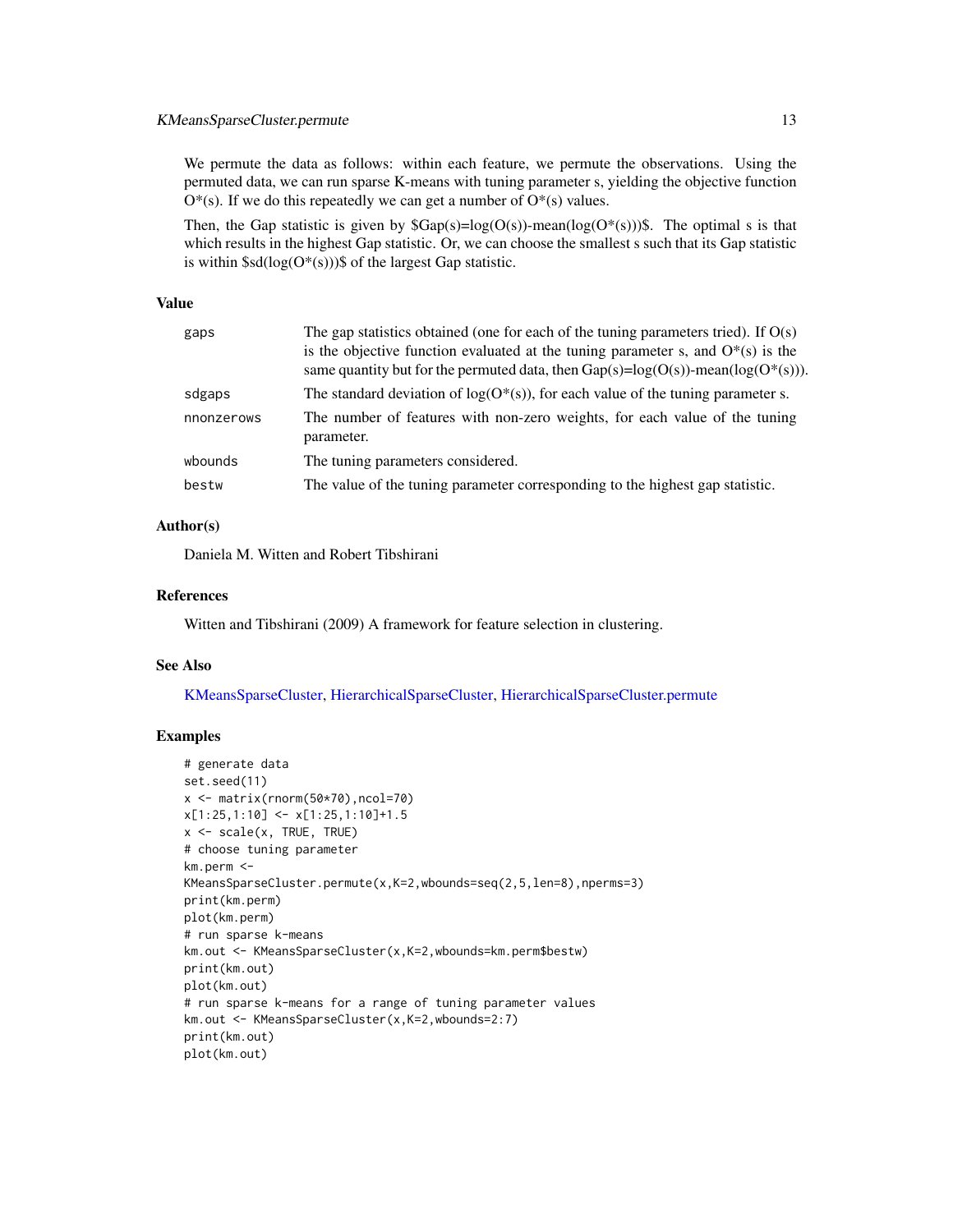# <span id="page-12-0"></span>KMeansSparseCluster.permute 13

We permute the data as follows: within each feature, we permute the observations. Using the permuted data, we can run sparse K-means with tuning parameter s, yielding the objective function  $O^*(s)$ . If we do this repeatedly we can get a number of  $O^*(s)$  values.

Then, the Gap statistic is given by  $\text{Gap}(s) = \log(O(s))$ -mean( $\log(O^*(s)))\$ ). The optimal s is that which results in the highest Gap statistic. Or, we can choose the smallest s such that its Gap statistic is within  $\$sd(log(O^*(s)))\$$  of the largest Gap statistic.

#### Value

| gaps       | The gap statistics obtained (one for each of the tuning parameters tried). If $O(s)$<br>is the objective function evaluated at the tuning parameter s, and $O^*(s)$ is the<br>same quantity but for the permuted data, then $Gap(s)=log(O(s))$ -mean( $log(O^*(s))$ ). |
|------------|------------------------------------------------------------------------------------------------------------------------------------------------------------------------------------------------------------------------------------------------------------------------|
| sdgaps     | The standard deviation of $log(O^*(s))$ , for each value of the tuning parameter s.                                                                                                                                                                                    |
| nnonzerows | The number of features with non-zero weights, for each value of the tuning<br>parameter.                                                                                                                                                                               |
| wbounds    | The tuning parameters considered.                                                                                                                                                                                                                                      |
| bestw      | The value of the tuning parameter corresponding to the highest gap statistic.                                                                                                                                                                                          |

#### Author(s)

Daniela M. Witten and Robert Tibshirani

#### References

Witten and Tibshirani (2009) A framework for feature selection in clustering.

#### See Also

[KMeansSparseCluster,](#page-9-1) [HierarchicalSparseCluster,](#page-3-1) [HierarchicalSparseCluster.permute](#page-5-1)

# Examples

```
# generate data
set.seed(11)
x <- matrix(rnorm(50*70),ncol=70)
x[1:25,1:10] \leftarrow x[1:25,1:10]+1.5x <- scale(x, TRUE, TRUE)
# choose tuning parameter
km.perm <-
KMeansSparseCluster.permute(x,K=2,wbounds=seq(2,5,len=8),nperms=3)
print(km.perm)
plot(km.perm)
# run sparse k-means
km.out <- KMeansSparseCluster(x,K=2,wbounds=km.perm$bestw)
print(km.out)
plot(km.out)
# run sparse k-means for a range of tuning parameter values
km.out <- KMeansSparseCluster(x,K=2,wbounds=2:7)
print(km.out)
plot(km.out)
```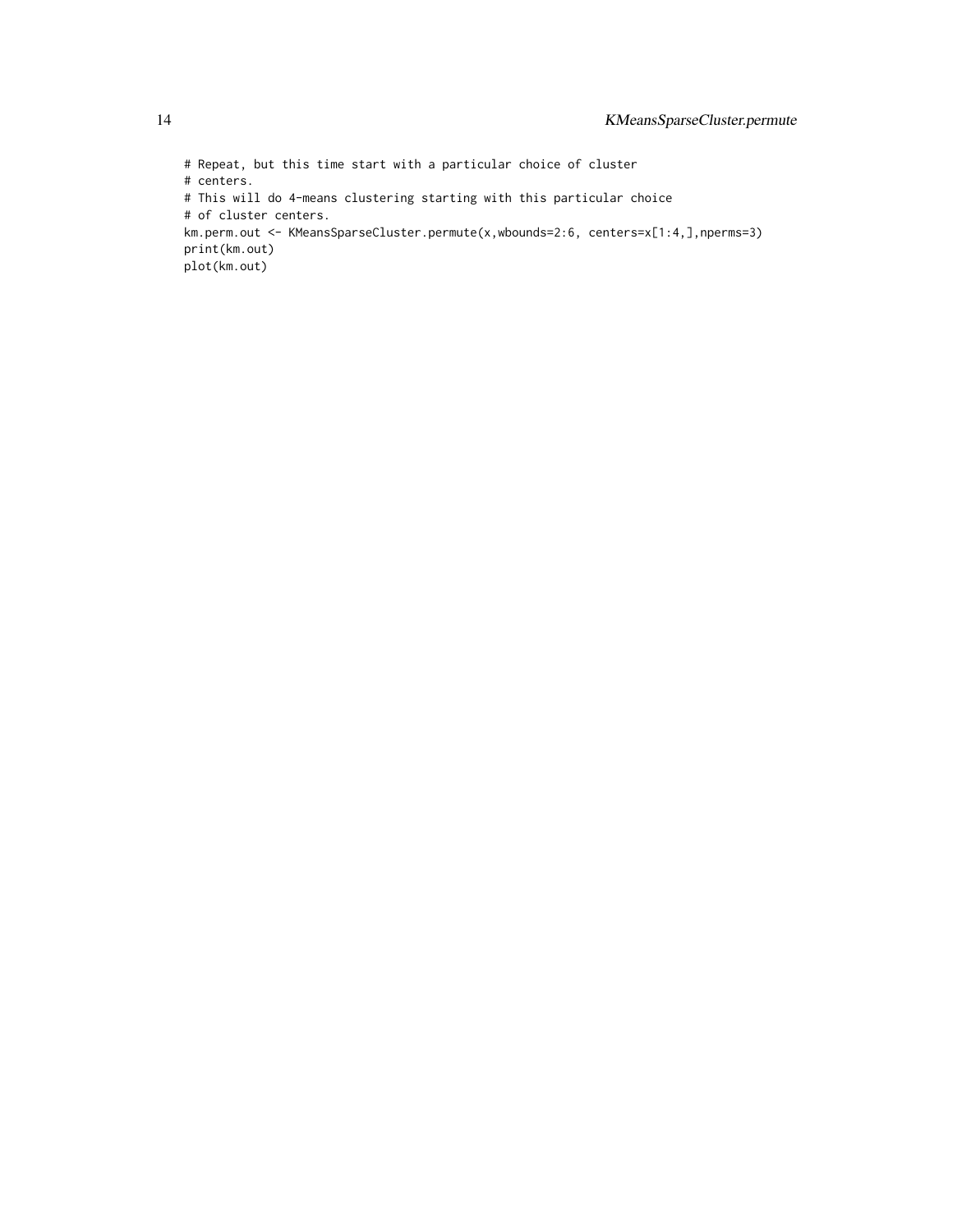# Repeat, but this time start with a particular choice of cluster # centers. # This will do 4-means clustering starting with this particular choice # of cluster centers. km.perm.out <- KMeansSparseCluster.permute(x,wbounds=2:6, centers=x[1:4,],nperms=3) print(km.out) plot(km.out)